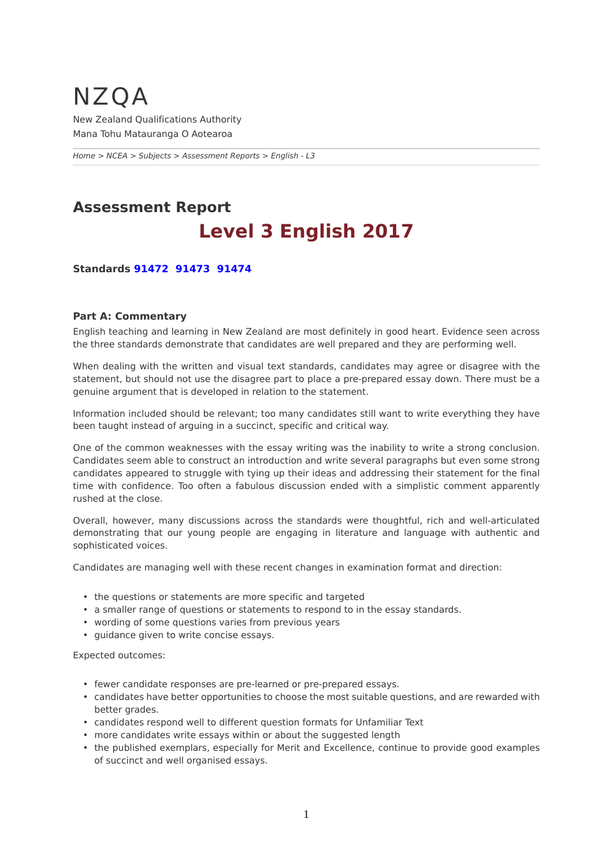## <span id="page-0-0"></span>NZQA New Zealand Qualifications Authority Mana Tohu Matauranga O Aotearoa

*[Home](https://www-test5.nzqa.govt.nz/home) > [NCEA](https://www-test5.nzqa.govt.nz/ncea/) > [Subjects](https://www-test5.nzqa.govt.nz/ncea/subjects/) > [Assessment Reports](https://www-test5.nzqa.govt.nz/ncea/subjects/assessment-reports/) > English - L3*

# **Assessment Report Level 3 English 2017**

**Standards [91472](https://www-test5.nzqa.govt.nz/#91472)  [91473](https://www-test5.nzqa.govt.nz/#91473) [91474](https://www-test5.nzqa.govt.nz/#91474)**

#### **Part A: Commentary**

English teaching and learning in New Zealand are most definitely in good heart. Evidence seen across the three standards demonstrate that candidates are well prepared and they are performing well.

When dealing with the written and visual text standards, candidates may agree or disagree with the statement, but should not use the disagree part to place a pre-prepared essay down. There must be a genuine argument that is developed in relation to the statement.

Information included should be relevant; too many candidates still want to write everything they have been taught instead of arguing in a succinct, specific and critical way.

One of the common weaknesses with the essay writing was the inability to write a strong conclusion. Candidates seem able to construct an introduction and write several paragraphs but even some strong candidates appeared to struggle with tying up their ideas and addressing their statement for the final time with confidence. Too often a fabulous discussion ended with a simplistic comment apparently rushed at the close.

Overall, however, many discussions across the standards were thoughtful, rich and well-articulated demonstrating that our young people are engaging in literature and language with authentic and sophisticated voices.

Candidates are managing well with these recent changes in examination format and direction:

- the questions or statements are more specific and targeted
- a smaller range of questions or statements to respond to in the essay standards.
- wording of some questions varies from previous years
- guidance given to write concise essays.

Expected outcomes:

- fewer candidate responses are pre-learned or pre-prepared essays.
- candidates have better opportunities to choose the most suitable questions, and are rewarded with better grades.
- candidates respond well to different question formats for Unfamiliar Text
- more candidates write essays within or about the suggested length
- the published exemplars, especially for Merit and Excellence, continue to provide good examples of succinct and well organised essays.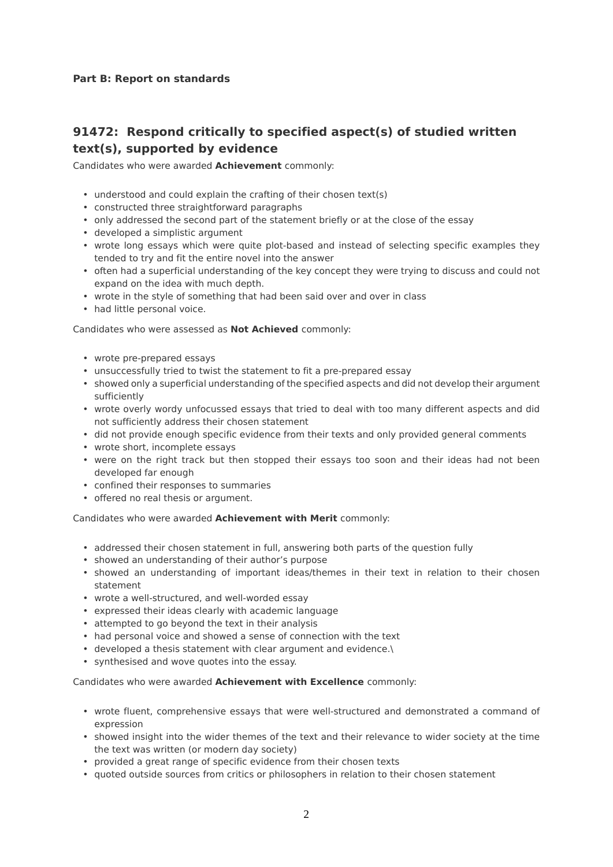#### **Part B: Report on standards**

### **91472: Respond critically to specified aspect(s) of studied written text(s), supported by evidence**

Candidates who were awarded **Achievement** commonly:

- understood and could explain the crafting of their chosen text(s)
- constructed three straightforward paragraphs
- only addressed the second part of the statement briefly or at the close of the essay
- developed a simplistic argument
- wrote long essays which were quite plot-based and instead of selecting specific examples they tended to try and fit the entire novel into the answer
- often had a superficial understanding of the key concept they were trying to discuss and could not expand on the idea with much depth.
- wrote in the style of something that had been said over and over in class
- had little personal voice.

Candidates who were assessed as **Not Achieved** commonly:

- wrote pre-prepared essays
- unsuccessfully tried to twist the statement to fit a pre-prepared essay
- showed only a superficial understanding of the specified aspects and did not develop their argument sufficiently
- wrote overly wordy unfocussed essays that tried to deal with too many different aspects and did not sufficiently address their chosen statement
- did not provide enough specific evidence from their texts and only provided general comments
- wrote short, incomplete essays
- were on the right track but then stopped their essays too soon and their ideas had not been developed far enough
- confined their responses to summaries
- offered no real thesis or argument.

Candidates who were awarded **Achievement with Merit** commonly:

- addressed their chosen statement in full, answering both parts of the question fully
- showed an understanding of their author's purpose
- showed an understanding of important ideas/themes in their text in relation to their chosen statement
- wrote a well-structured, and well-worded essay
- expressed their ideas clearly with academic language
- attempted to go beyond the text in their analysis
- had personal voice and showed a sense of connection with the text
- developed a thesis statement with clear argument and evidence.\
- synthesised and wove quotes into the essay.

Candidates who were awarded **Achievement with Excellence** commonly:

- wrote fluent, comprehensive essays that were well-structured and demonstrated a command of expression
- showed insight into the wider themes of the text and their relevance to wider society at the time the text was written (or modern day society)
- provided a great range of specific evidence from their chosen texts
- quoted outside sources from critics or philosophers in relation to their chosen statement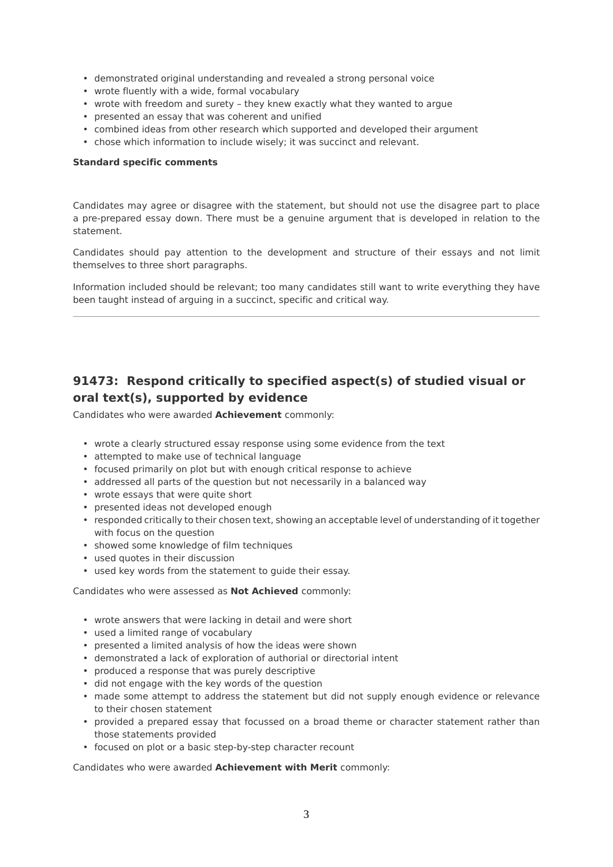- demonstrated original understanding and revealed a strong personal voice
- wrote fluently with a wide, formal vocabulary
- wrote with freedom and surety they knew exactly what they wanted to argue
- presented an essay that was coherent and unified
- combined ideas from other research which supported and developed their argument
- chose which information to include wisely; it was succinct and relevant.

#### **Standard specific comments**

Candidates may agree or disagree with the statement, but should not use the disagree part to place a pre-prepared essay down. There must be a genuine argument that is developed in relation to the statement.

Candidates should pay attention to the development and structure of their essays and not limit themselves to three short paragraphs.

Information included should be relevant; too many candidates still want to write everything they have been taught instead of arguing in a succinct, specific and critical way.

### **91473: Respond critically to specified aspect(s) of studied visual or oral text(s), supported by evidence**

Candidates who were awarded **Achievement** commonly:

- wrote a clearly structured essay response using some evidence from the text
- attempted to make use of technical language
- focused primarily on plot but with enough critical response to achieve
- addressed all parts of the question but not necessarily in a balanced way
- wrote essays that were quite short
- presented ideas not developed enough
- responded critically to their chosen text, showing an acceptable level of understanding of it together with focus on the question
- showed some knowledge of film techniques
- used quotes in their discussion
- used key words from the statement to guide their essay.

#### Candidates who were assessed as **Not Achieved** commonly:

- wrote answers that were lacking in detail and were short
- used a limited range of vocabulary
- presented a limited analysis of how the ideas were shown
- demonstrated a lack of exploration of authorial or directorial intent
- produced a response that was purely descriptive
- did not engage with the key words of the question
- made some attempt to address the statement but did not supply enough evidence or relevance to their chosen statement
- provided a prepared essay that focussed on a broad theme or character statement rather than those statements provided
- focused on plot or a basic step-by-step character recount

Candidates who were awarded **Achievement with Merit** commonly: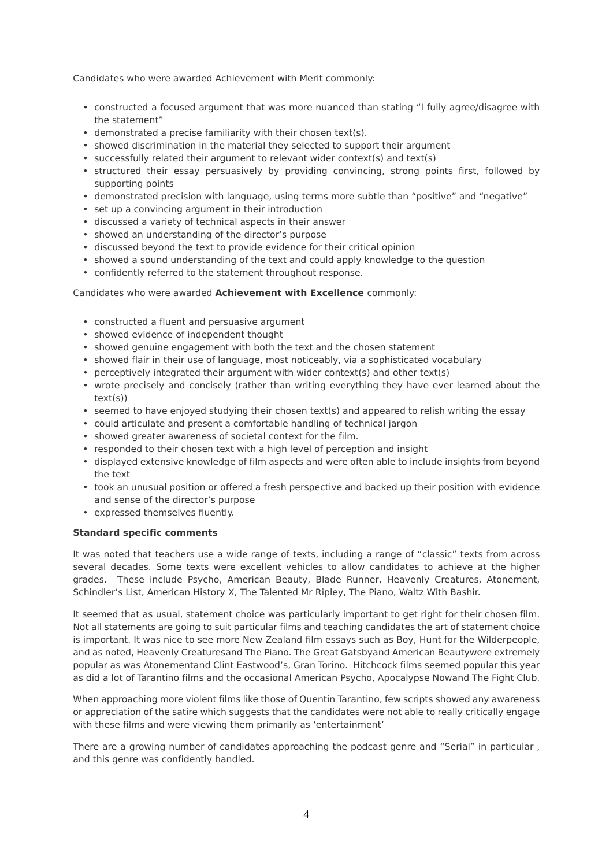Candidates who were awarded Achievement with Merit commonly:

- constructed a focused argument that was more nuanced than stating "I fully agree/disagree with the statement"
- demonstrated a precise familiarity with their chosen text(s).
- showed discrimination in the material they selected to support their argument
- successfully related their argument to relevant wider context(s) and text(s)
- structured their essay persuasively by providing convincing, strong points first, followed by supporting points
- demonstrated precision with language, using terms more subtle than "positive" and "negative"
- set up a convincing argument in their introduction
- discussed a variety of technical aspects in their answer
- showed an understanding of the director's purpose
- discussed beyond the text to provide evidence for their critical opinion
- showed a sound understanding of the text and could apply knowledge to the question
- confidently referred to the statement throughout response.

#### Candidates who were awarded **Achievement with Excellence** commonly:

- constructed a fluent and persuasive argument
- showed evidence of independent thought
- showed genuine engagement with both the text and the chosen statement
- showed flair in their use of language, most noticeably, via a sophisticated vocabulary
- perceptively integrated their argument with wider context(s) and other text(s)
- wrote precisely and concisely (rather than writing everything they have ever learned about the text(s))
- seemed to have enjoyed studying their chosen text(s) and appeared to relish writing the essay
- could articulate and present a comfortable handling of technical jargon
- showed greater awareness of societal context for the film.
- responded to their chosen text with a high level of perception and insight
- displayed extensive knowledge of film aspects and were often able to include insights from beyond the text
- took an unusual position or offered a fresh perspective and backed up their position with evidence and sense of the director's purpose
- expressed themselves fluently.

#### **Standard specific comments**

It was noted that teachers use a wide range of texts, including a range of "classic" texts from across several decades. Some texts were excellent vehicles to allow candidates to achieve at the higher grades. These include Psycho, American Beauty, Blade Runner, Heavenly Creatures, Atonement, Schindler's List, American History X, The Talented Mr Ripley, The Piano, Waltz With Bashir.

It seemed that as usual, statement choice was particularly important to get right for their chosen film. Not all statements are going to suit particular films and teaching candidates the art of statement choice is important. It was nice to see more New Zealand film essays such as Boy, Hunt for the Wilderpeople, and as noted, Heavenly Creaturesand The Piano. The Great Gatsbyand American Beautywere extremely popular as was Atonementand Clint Eastwood's, Gran Torino. Hitchcock films seemed popular this year as did a lot of Tarantino films and the occasional American Psycho, Apocalypse Nowand The Fight Club.

When approaching more violent films like those of Quentin Tarantino, few scripts showed any awareness or appreciation of the satire which suggests that the candidates were not able to really critically engage with these films and were viewing them primarily as 'entertainment'

There are a growing number of candidates approaching the podcast genre and "Serial" in particular , and this genre was confidently handled.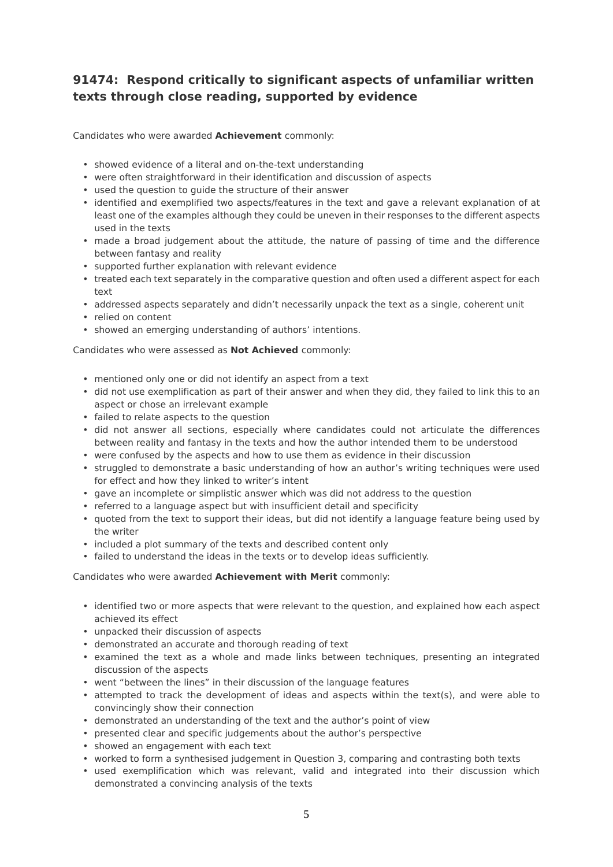### **91474: Respond critically to significant aspects of unfamiliar written texts through close reading, supported by evidence**

Candidates who were awarded **Achievement** commonly:

- showed evidence of a literal and on-the-text understanding
- were often straightforward in their identification and discussion of aspects
- used the question to guide the structure of their answer
- identified and exemplified two aspects/features in the text and gave a relevant explanation of at least one of the examples although they could be uneven in their responses to the different aspects used in the texts
- made a broad judgement about the attitude, the nature of passing of time and the difference between fantasy and reality
- supported further explanation with relevant evidence
- treated each text separately in the comparative question and often used a different aspect for each text
- addressed aspects separately and didn't necessarily unpack the text as a single, coherent unit
- relied on content
- showed an emerging understanding of authors' intentions.

Candidates who were assessed as **Not Achieved** commonly:

- mentioned only one or did not identify an aspect from a text
- did not use exemplification as part of their answer and when they did, they failed to link this to an aspect or chose an irrelevant example
- failed to relate aspects to the question
- did not answer all sections, especially where candidates could not articulate the differences between reality and fantasy in the texts and how the author intended them to be understood
- were confused by the aspects and how to use them as evidence in their discussion
- struggled to demonstrate a basic understanding of how an author's writing techniques were used for effect and how they linked to writer's intent
- gave an incomplete or simplistic answer which was did not address to the question
- referred to a language aspect but with insufficient detail and specificity
- quoted from the text to support their ideas, but did not identify a language feature being used by the writer
- included a plot summary of the texts and described content only
- failed to understand the ideas in the texts or to develop ideas sufficiently.

Candidates who were awarded **Achievement with Merit** commonly:

- identified two or more aspects that were relevant to the question, and explained how each aspect achieved its effect
- unpacked their discussion of aspects
- demonstrated an accurate and thorough reading of text
- examined the text as a whole and made links between techniques, presenting an integrated discussion of the aspects
- went "between the lines" in their discussion of the language features
- attempted to track the development of ideas and aspects within the text(s), and were able to convincingly show their connection
- demonstrated an understanding of the text and the author's point of view
- presented clear and specific judgements about the author's perspective
- showed an engagement with each text
- worked to form a synthesised judgement in Question 3, comparing and contrasting both texts
- used exemplification which was relevant, valid and integrated into their discussion which demonstrated a convincing analysis of the texts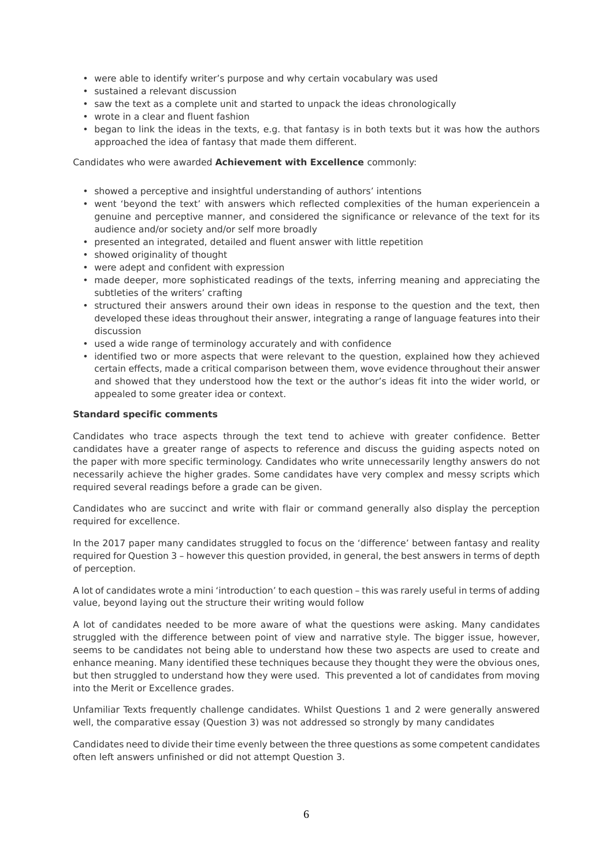- were able to identify writer's purpose and why certain vocabulary was used
- sustained a relevant discussion
- saw the text as a complete unit and started to unpack the ideas chronologically
- wrote in a clear and fluent fashion
- began to link the ideas in the texts, e.g. that fantasy is in both texts but it was how the authors approached the idea of fantasy that made them different.

Candidates who were awarded **Achievement with Excellence** commonly:

- showed a perceptive and insightful understanding of authors' intentions
- went 'beyond the text' with answers which reflected complexities of the human experiencein a genuine and perceptive manner, and considered the significance or relevance of the text for its audience and/or society and/or self more broadly
- presented an integrated, detailed and fluent answer with little repetition
- showed originality of thought
- were adept and confident with expression
- made deeper, more sophisticated readings of the texts, inferring meaning and appreciating the subtleties of the writers' crafting
- structured their answers around their own ideas in response to the question and the text, then developed these ideas throughout their answer, integrating a range of language features into their discussion
- used a wide range of terminology accurately and with confidence
- identified two or more aspects that were relevant to the question, explained how they achieved certain effects, made a critical comparison between them, wove evidence throughout their answer and showed that they understood how the text or the author's ideas fit into the wider world, or appealed to some greater idea or context.

#### **Standard specific comments**

Candidates who trace aspects through the text tend to achieve with greater confidence. Better candidates have a greater range of aspects to reference and discuss the guiding aspects noted on the paper with more specific terminology. Candidates who write unnecessarily lengthy answers do not necessarily achieve the higher grades. Some candidates have very complex and messy scripts which required several readings before a grade can be given.

Candidates who are succinct and write with flair or command generally also display the perception required for excellence.

In the 2017 paper many candidates struggled to focus on the 'difference' between fantasy and reality required for Question 3 – however this question provided, in general, the best answers in terms of depth of perception.

A lot of candidates wrote a mini 'introduction' to each question – this was rarely useful in terms of adding value, beyond laying out the structure their writing would follow

A lot of candidates needed to be more aware of what the questions were asking. Many candidates struggled with the difference between point of view and narrative style. The bigger issue, however, seems to be candidates not being able to understand how these two aspects are used to create and enhance meaning. Many identified these techniques because they thought they were the obvious ones, but then struggled to understand how they were used. This prevented a lot of candidates from moving into the Merit or Excellence grades.

Unfamiliar Texts frequently challenge candidates. Whilst Questions 1 and 2 were generally answered well, the comparative essay (Question 3) was not addressed so strongly by many candidates

Candidates need to divide their time evenly between the three questions as some competent candidates often left answers unfinished or did not attempt Question 3.